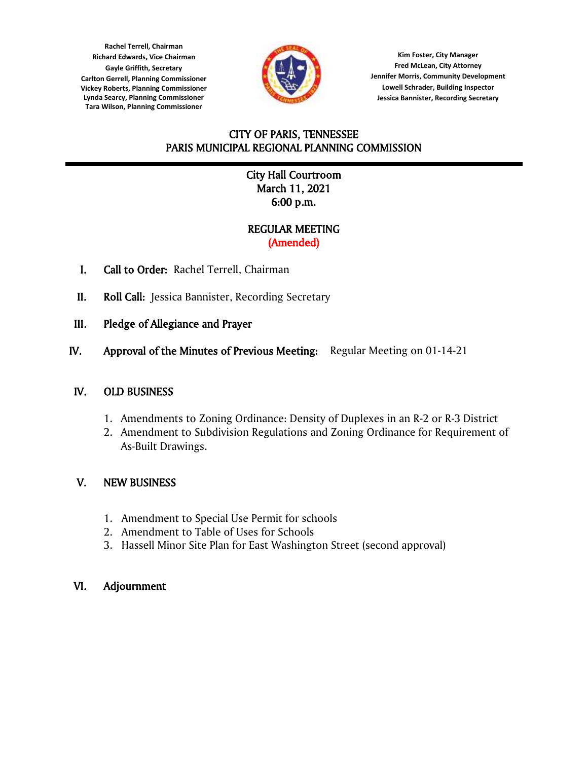**Lynda Searcy, Planning Commissioner Rachel Terrell, Chairman Richard Edwards, Vice Chairman Gayle Griffith, Secretary Carlton Gerrell, Planning Commissioner Vickey Roberts, Planning Commissioner Tara Wilson, Planning Commissioner**



**Kim Foster, City Manager Fred McLean, City Attorney Jennifer Morris, Community Development Lowell Schrader, Building Inspector Jessica Bannister, Recording Secretary**

# CITY OF PARIS, TENNESSEE PARIS MUNICIPAL REGIONAL PLANNING COMMISSION

## l City Hall Courtroom March 11, 2021 6:00 p.m.

## REGULAR MEETING (Amended)

- I. Call to Order: Rachel Terrell, Chairman
- II. Roll Call: Jessica Bannister, Recording Secretary
- III. Pledge of Allegiance and Prayer
- IV. Approval of the Minutes of Previous Meeting: Regular Meeting on 01-14-21

## IV. OLD BUSINESS

- 1. Amendments to Zoning Ordinance: Density of Duplexes in an R-2 or R-3 District
- 2. Amendment to Subdivision Regulations and Zoning Ordinance for Requirement of As-Built Drawings.

## V. NEW BUSINESS

- 1. Amendment to Special Use Permit for schools
- 2. Amendment to Table of Uses for Schools
- 3. Hassell Minor Site Plan for East Washington Street (second approval)

## VI. Adjournment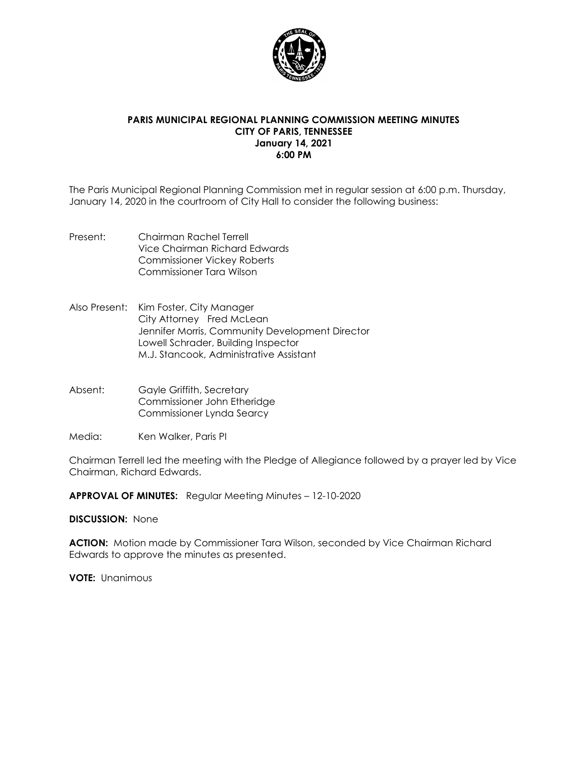

### **PARIS MUNICIPAL REGIONAL PLANNING COMMISSION MEETING MINUTES CITY OF PARIS, TENNESSEE January 14, 2021 6:00 PM**

The Paris Municipal Regional Planning Commission met in regular session at 6:00 p.m. Thursday, January 14, 2020 in the courtroom of City Hall to consider the following business:

- Present: Chairman Rachel Terrell Vice Chairman Richard Edwards Commissioner Vickey Roberts Commissioner Tara Wilson
- Also Present: Kim Foster, City Manager City Attorney Fred McLean Jennifer Morris, Community Development Director Lowell Schrader, Building Inspector M.J. Stancook, Administrative Assistant
- Absent: Gayle Griffith, Secretary Commissioner John Etheridge Commissioner Lynda Searcy
- Media: Ken Walker, Paris PI

Chairman Terrell led the meeting with the Pledge of Allegiance followed by a prayer led by Vice Chairman, Richard Edwards.

**APPROVAL OF MINUTES:** Regular Meeting Minutes – 12-10-2020

#### **DISCUSSION:** None

**ACTION:** Motion made by Commissioner Tara Wilson, seconded by Vice Chairman Richard Edwards to approve the minutes as presented.

**VOTE:** Unanimous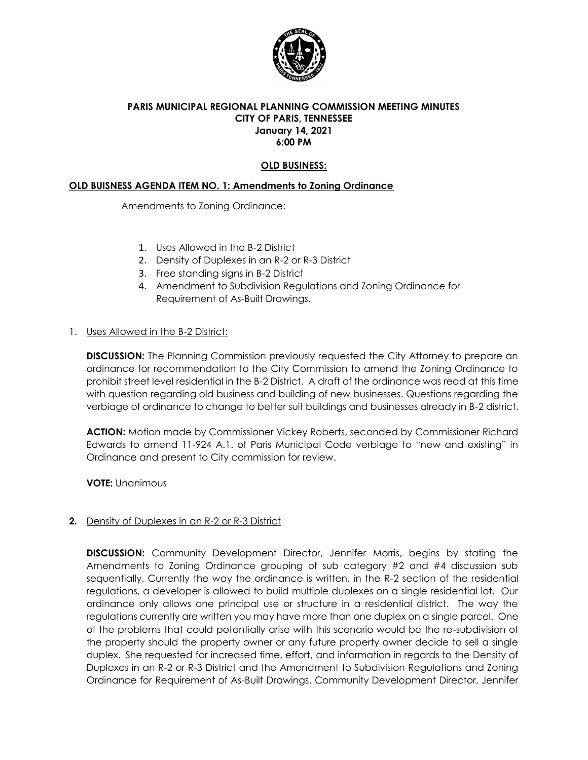

### **PARIS MUNICIPAL REGIONAL PLANNING COMMISSION MEETING MINUTES CITY OF PARIS, TENNESSEE January 14, 2021 6:00 PM**

### **OLD BUSINESS:**

### **OLD BUISNESS AGENDA ITEM NO. 1: Amendments to Zoning Ordinance**

Amendments to Zoning Ordinance:

- 1. Uses Allowed in the B-2 District
- 2. Density of Duplexes in an R-2 or R-3 District
- 3. Free standing signs in B-2 District
- 4. Amendment to Subdivision Regulations and Zoning Ordinance for Requirement of As-Built Drawings.

### 1. Uses Allowed in the B-2 District:

**DISCUSSION:** The Planning Commission previously requested the City Attorney to prepare an ordinance for recommendation to the City Commission to amend the Zoning Ordinance to prohibit street level residential in the B-2 District. A draft of the ordinance was read at this time with question regarding old business and building of new businesses. Questions regarding the verbiage of ordinance to change to better suit buildings and businesses already in B-2 district.

**ACTION:** Motion made by Commissioner Vickey Roberts, seconded by Commissioner Richard Edwards to amend 11-924 A.1. of Paris Municipal Code verbiage to "new and existing" in Ordinance and present to City commission for review.

**VOTE:** Unanimous

### **2.** Density of Duplexes in an R-2 or R-3 District

**DISCUSSION:** Community Development Director, Jennifer Morris, begins by stating the Amendments to Zoning Ordinance grouping of sub category #2 and #4 discussion sub sequentially. Currently the way the ordinance is written, in the R-2 section of the residential regulations, a developer is allowed to build multiple duplexes on a single residential lot. Our ordinance only allows one principal use or structure in a residential district. The way the regulations currently are written you may have more than one duplex on a single parcel. One of the problems that could potentially arise with this scenario would be the re-subdivision of the property should the property owner or any future property owner decide to sell a single duplex. She requested for increased time, effort, and information in regards to the Density of Duplexes in an R-2 or R-3 District and the Amendment to Subdivision Regulations and Zoning Ordinance for Requirement of As-Built Drawings. Community Development Director, Jennifer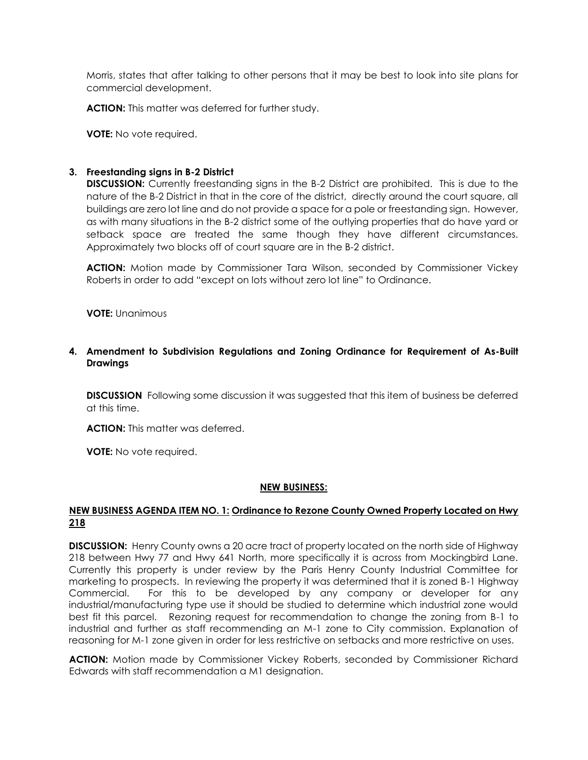Morris, states that after talking to other persons that it may be best to look into site plans for commercial development.

**ACTION:** This matter was deferred for further study.

**VOTE:** No vote required.

#### **3. Freestanding signs in B-2 District**

**DISCUSSION:** Currently freestanding signs in the B-2 District are prohibited. This is due to the nature of the B-2 District in that in the core of the district, directly around the court square, all buildings are zero lot line and do not provide a space for a pole or freestanding sign. However, as with many situations in the B-2 district some of the outlying properties that do have yard or setback space are treated the same though they have different circumstances. Approximately two blocks off of court square are in the B-2 district.

**ACTION:** Motion made by Commissioner Tara Wilson, seconded by Commissioner Vickey Roberts in order to add "except on lots without zero lot line" to Ordinance.

**VOTE:** Unanimous

### **4. Amendment to Subdivision Regulations and Zoning Ordinance for Requirement of As-Built Drawings**

**DISCUSSION** Following some discussion it was suggested that this item of business be deferred at this time.

**ACTION:** This matter was deferred.

**VOTE:** No vote required.

#### **NEW BUSINESS:**

#### **NEW BUSINESS AGENDA ITEM NO. 1: Ordinance to Rezone County Owned Property Located on Hwy 218**

**DISCUSSION:** Henry County owns a 20 acre tract of property located on the north side of Highway 218 between Hwy 77 and Hwy 641 North, more specifically it is across from Mockingbird Lane. Currently this property is under review by the Paris Henry County Industrial Committee for marketing to prospects. In reviewing the property it was determined that it is zoned B-1 Highway Commercial. For this to be developed by any company or developer for any industrial/manufacturing type use it should be studied to determine which industrial zone would best fit this parcel. Rezoning request for recommendation to change the zoning from B-1 to industrial and further as staff recommending an M-1 zone to City commission. Explanation of reasoning for M-1 zone given in order for less restrictive on setbacks and more restrictive on uses.

**ACTION:** Motion made by Commissioner Vickey Roberts, seconded by Commissioner Richard Edwards with staff recommendation a M1 designation.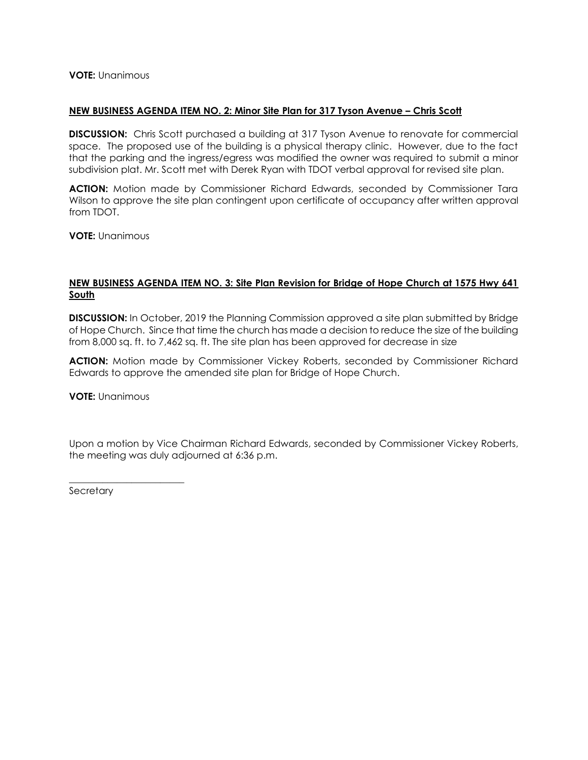**VOTE:** Unanimous

#### **NEW BUSINESS AGENDA ITEM NO. 2: Minor Site Plan for 317 Tyson Avenue – Chris Scott**

**DISCUSSION:** Chris Scott purchased a building at 317 Tyson Avenue to renovate for commercial space. The proposed use of the building is a physical therapy clinic. However, due to the fact that the parking and the ingress/egress was modified the owner was required to submit a minor subdivision plat. Mr. Scott met with Derek Ryan with TDOT verbal approval for revised site plan.

**ACTION:** Motion made by Commissioner Richard Edwards, seconded by Commissioner Tara Wilson to approve the site plan contingent upon certificate of occupancy after written approval from TDOT.

**VOTE:** Unanimous

#### **NEW BUSINESS AGENDA ITEM NO. 3: Site Plan Revision for Bridge of Hope Church at 1575 Hwy 641 South**

**DISCUSSION:** In October, 2019 the Planning Commission approved a site plan submitted by Bridge of Hope Church. Since that time the church has made a decision to reduce the size of the building from 8,000 sq. ft. to 7,462 sq. ft. The site plan has been approved for decrease in size

**ACTION:** Motion made by Commissioner Vickey Roberts, seconded by Commissioner Richard Edwards to approve the amended site plan for Bridge of Hope Church.

**VOTE:** Unanimous

\_\_\_\_\_\_\_\_\_\_\_\_\_\_\_\_\_\_\_\_\_\_\_\_

Upon a motion by Vice Chairman Richard Edwards, seconded by Commissioner Vickey Roberts, the meeting was duly adjourned at 6:36 p.m.

**Secretary**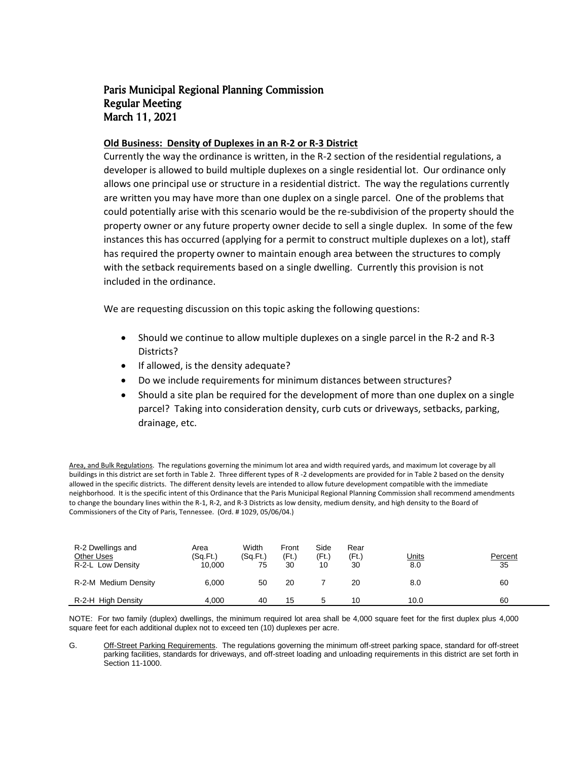#### **Old Business: Density of Duplexes in an R-2 or R-3 District**

Currently the way the ordinance is written, in the R-2 section of the residential regulations, a developer is allowed to build multiple duplexes on a single residential lot. Our ordinance only allows one principal use or structure in a residential district. The way the regulations currently are written you may have more than one duplex on a single parcel. One of the problems that could potentially arise with this scenario would be the re-subdivision of the property should the property owner or any future property owner decide to sell a single duplex. In some of the few instances this has occurred (applying for a permit to construct multiple duplexes on a lot), staff has required the property owner to maintain enough area between the structures to comply with the setback requirements based on a single dwelling. Currently this provision is not included in the ordinance.

We are requesting discussion on this topic asking the following questions:

- Should we continue to allow multiple duplexes on a single parcel in the R-2 and R-3 Districts?
- If allowed, is the density adequate?
- Do we include requirements for minimum distances between structures?
- Should a site plan be required for the development of more than one duplex on a single parcel? Taking into consideration density, curb cuts or driveways, setbacks, parking, drainage, etc.

Area, and Bulk Regulations. The regulations governing the minimum lot area and width required yards, and maximum lot coverage by all buildings in this district are set forth in Table 2. Three different types of R -2 developments are provided for in Table 2 based on the density allowed in the specific districts. The different density levels are intended to allow future development compatible with the immediate neighborhood. It is the specific intent of this Ordinance that the Paris Municipal Regional Planning Commission shall recommend amendments to change the boundary lines within the R-1, R-2, and R-3 Districts as low density, medium density, and high density to the Board of Commissioners of the City of Paris, Tennessee. (Ord. # 1029, 05/06/04.)

| R-2 Dwellings and<br>Other Uses<br>R-2-L Low Density | Area<br>(Sq.Ft.)<br>10.000 | Width<br>(Sq.Ft.)<br>75 | Front<br>(Ft.)<br>30 | Side<br>(Ft.)<br>10 | Rear<br>(Ft.)<br>30 | <u>Units</u><br>8.0 | Percent<br>35 |
|------------------------------------------------------|----------------------------|-------------------------|----------------------|---------------------|---------------------|---------------------|---------------|
| R-2-M Medium Density                                 | 6.000                      | 50                      | 20                   |                     | 20                  | 8.0                 | 60            |
| R-2-H High Density                                   | 4.000                      | 40                      | 15                   | 5                   | 10                  | 10.0                | 60            |

NOTE: For two family (duplex) dwellings, the minimum required lot area shall be 4,000 square feet for the first duplex plus 4,000 square feet for each additional duplex not to exceed ten (10) duplexes per acre.

G. Off-Street Parking Requirements. The regulations governing the minimum off-street parking space, standard for off-street parking facilities, standards for driveways, and off-street loading and unloading requirements in this district are set forth in Section 11-1000.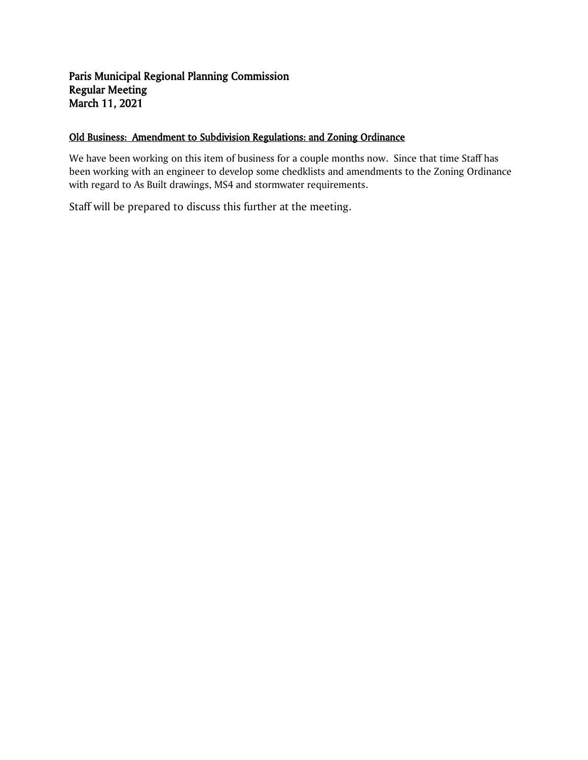### Old Business: Amendment to Subdivision Regulations: and Zoning Ordinance

We have been working on this item of business for a couple months now. Since that time Staff has been working with an engineer to develop some chedklists and amendments to the Zoning Ordinance with regard to As Built drawings, MS4 and stormwater requirements.

Staff will be prepared to discuss this further at the meeting.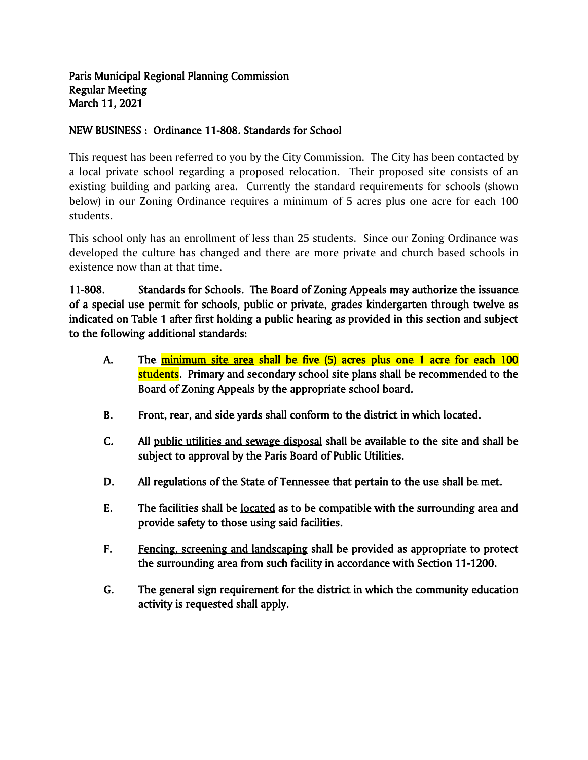# NEW BUSINESS : Ordinance 11-808. Standards for School

This request has been referred to you by the City Commission. The City has been contacted by a local private school regarding a proposed relocation. Their proposed site consists of an existing building and parking area. Currently the standard requirements for schools (shown below) in our Zoning Ordinance requires a minimum of 5 acres plus one acre for each 100 students.

This school only has an enrollment of less than 25 students. Since our Zoning Ordinance was developed the culture has changed and there are more private and church based schools in existence now than at that time.

11-808. Standards for Schools. The Board of Zoning Appeals may authorize the issuance of a special use permit for schools, public or private, grades kindergarten through twelve as indicated on Table 1 after first holding a public hearing as provided in this section and subject to the following additional standards:

- A. The minimum site area shall be five (5) acres plus one 1 acre for each 100 students. Primary and secondary school site plans shall be recommended to the Board of Zoning Appeals by the appropriate school board.
- B. Front, rear, and side yards shall conform to the district in which located.
- C. All public utilities and sewage disposal shall be available to the site and shall be subject to approval by the Paris Board of Public Utilities.
- D. All regulations of the State of Tennessee that pertain to the use shall be met.
- E. The facilities shall be located as to be compatible with the surrounding area and provide safety to those using said facilities.
- F. Fencing, screening and landscaping shall be provided as appropriate to protect the surrounding area from such facility in accordance with Section 11-1200.
- G. The general sign requirement for the district in which the community education activity is requested shall apply.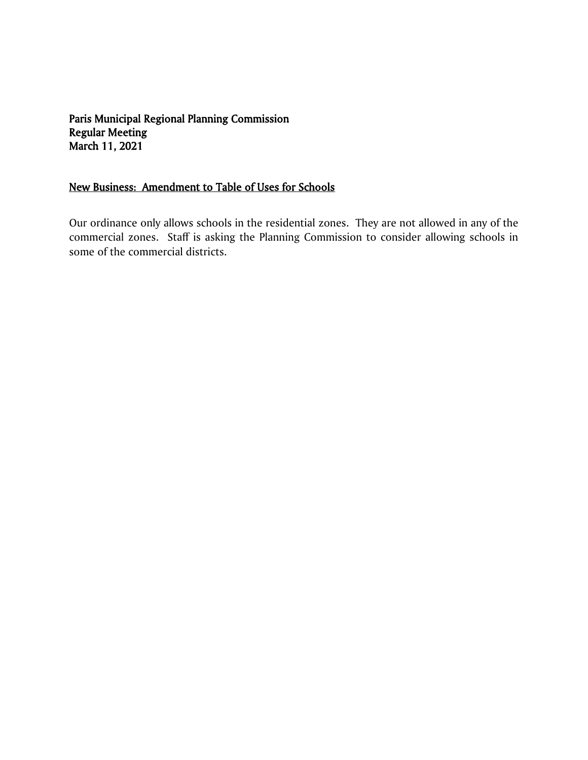# New Business: Amendment to Table of Uses for Schools

Our ordinance only allows schools in the residential zones. They are not allowed in any of the commercial zones. Staff is asking the Planning Commission to consider allowing schools in some of the commercial districts.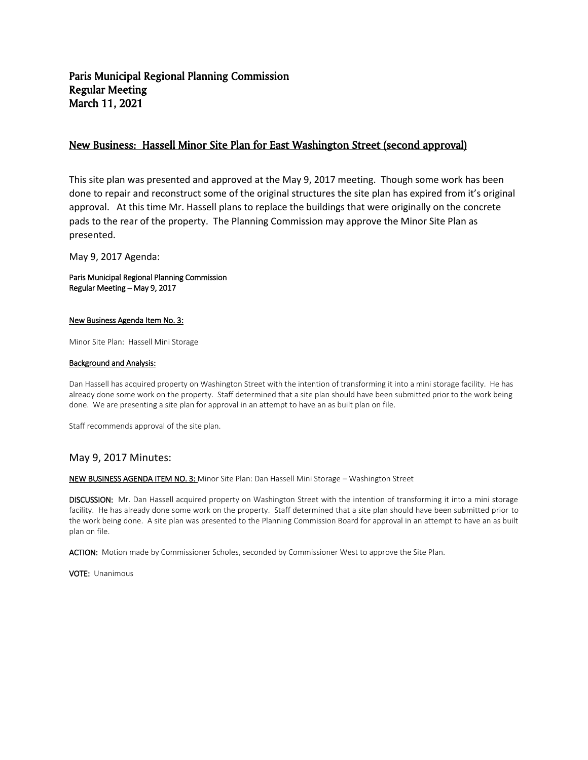### New Business: Hassell Minor Site Plan for East Washington Street (second approval)

This site plan was presented and approved at the May 9, 2017 meeting. Though some work has been done to repair and reconstruct some of the original structures the site plan has expired from it's original approval. At this time Mr. Hassell plans to replace the buildings that were originally on the concrete pads to the rear of the property. The Planning Commission may approve the Minor Site Plan as presented.

May 9, 2017 Agenda:

Paris Municipal Regional Planning Commission Regular Meeting – May 9, 2017

#### New Business Agenda Item No. 3:

Minor Site Plan: Hassell Mini Storage

#### Background and Analysis:

Dan Hassell has acquired property on Washington Street with the intention of transforming it into a mini storage facility. He has already done some work on the property. Staff determined that a site plan should have been submitted prior to the work being done. We are presenting a site plan for approval in an attempt to have an as built plan on file.

Staff recommends approval of the site plan.

#### May 9, 2017 Minutes:

NEW BUSINESS AGENDA ITEM NO. 3: Minor Site Plan: Dan Hassell Mini Storage - Washington Street

DISCUSSION: Mr. Dan Hassell acquired property on Washington Street with the intention of transforming it into a mini storage facility. He has already done some work on the property. Staff determined that a site plan should have been submitted prior to the work being done. A site plan was presented to the Planning Commission Board for approval in an attempt to have an as built plan on file.

ACTION: Motion made by Commissioner Scholes, seconded by Commissioner West to approve the Site Plan.

VOTE: Unanimous